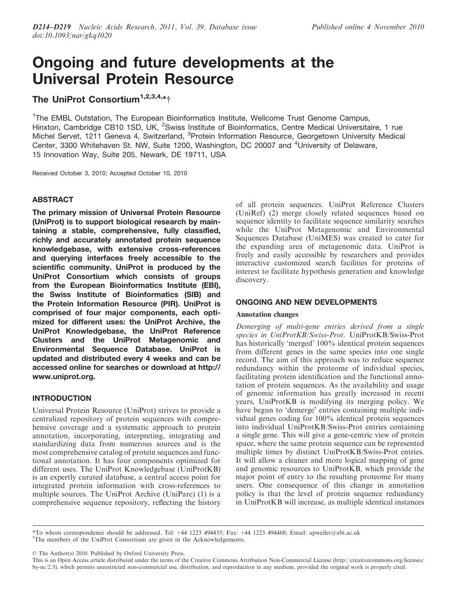# Ongoing and future developments at the Universal Protein Resource

# The UniProt Consortium<sup>1,2,3,4,\*</sup> $\dagger$

<sup>1</sup>The EMBL Outstation, The European Bioinformatics Institute, Wellcome Trust Genome Campus, Hinxton, Cambridge CB10 1SD, UK, <sup>2</sup>Swiss Institute of Bioinformatics, Centre Medical Universitaire, 1 rue Michel Servet, 1211 Geneva 4, Switzerland, <sup>3</sup>Protein Information Resource, Georgetown University Medical Center, 3300 Whitehaven St. NW, Suite 1200, Washington, DC 20007 and <sup>4</sup>University of Delaware, 15 Innovation Way, Suite 205, Newark, DE 19711, USA

Received October 3, 2010; Accepted October 10, 2010

# **ABSTRACT**

The primary mission of Universal Protein Resource (UniProt) is to support biological research by maintaining a stable, comprehensive, fully classified, richly and accurately annotated protein sequence knowledgebase, with extensive cross-references and querying interfaces freely accessible to the scientific community. UniProt is produced by the UniProt Consortium which consists of groups from the European Bioinformatics Institute (EBI), the Swiss Institute of Bioinformatics (SIB) and the Protein Information Resource (PIR). UniProt is comprised of four major components, each optimized for different uses: the UniProt Archive, the UniProt Knowledgebase, the UniProt Reference Clusters and the UniProt Metagenomic and Environmental Sequence Database. UniProt is updated and distributed every 4 weeks and can be accessed online for searches or download at http:// www.uniprot.org.

# INTRODUCTION

Universal Protein Resource (UniProt) strives to provide a centralized repository of protein sequences with comprehensive coverage and a systematic approach to protein annotation, incorporating, interpreting, integrating and standardizing data from numerous sources and is the most comprehensive catalog of protein sequences and functional annotation. It has four components optimized for different uses. The UniProt Knowledgebase (UniProtKB) is an expertly curated database, a central access point for integrated protein information with cross-references to multiple sources. The UniProt Archive (UniParc) (1) is a comprehensive sequence repository, reflecting the history of all protein sequences. UniProt Reference Clusters (UniRef) (2) merge closely related sequences based on sequence identity to facilitate sequence similarity searches while the UniProt Metagenomic and Environmental Sequences Database (UniMES) was created to cater for the expanding area of metagenomic data. UniProt is freely and easily accessible by researchers and provides interactive customized search facilities for proteins of interest to facilitate hypothesis generation and knowledge discovery.

# ONGOING AND NEW DEVELOPMENTS

#### Annotation changes

Demerging of multi-gene entries derived from a single species in UniProtKB/Swiss-Prot. UniProtKB/Swiss-Prot has historically 'merged' 100% identical protein sequences from different genes in the same species into one single record. The aim of this approach was to reduce sequence redundancy within the proteome of individual species, facilitating protein identification and the functional annotation of protein sequences. As the availability and usage of genomic information has greatly increased in recent years, UniProtKB is modifying its merging policy. We have begun to 'demerge' entries containing multiple individual genes coding for 100% identical protein sequences into individual UniProtKB/Swiss-Prot entries containing a single gene. This will give a gene-centric view of protein space, where the same protein sequence can be represented multiple times by distinct UniProtKB/Swiss-Prot entries. It will allow a cleaner and more logical mapping of gene and genomic resources to UniProtKB, which provide the major point of entry to the resulting proteome for many users. One consequence of this change in annotation policy is that the level of protein sequence redundancy in UniProtKB will increase, as multiple identical instances

© The Author(s) 2010. Published by Oxford University Press.

<sup>\*</sup>To whom correspondence should be addressed. Tel: +44 1223 494435; Fax: +44 1223 494468; Email: apweiler@ebi.ac.uk <sup>†</sup>The members of the UniProt Consortium are given in the Acknowledgements.

This is an Open Access article distributed under the terms of the Creative Commons Attribution Non-Commercial License (http://creativecommons.org/licenses/ by-nc/2.5), which permits unrestricted non-commercial use, distribution, and reproduction in any medium, provided the original work is properly cited.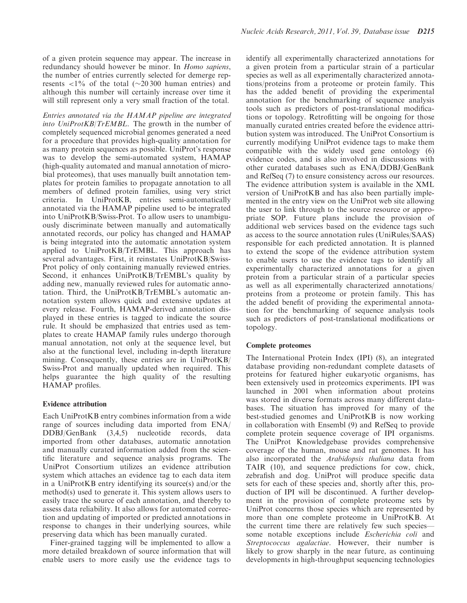Entries annotated via the HAMAP pipeline are integrated into UniProtKB/TrEMBL. The growth in the number of completely sequenced microbial genomes generated a need for a procedure that provides high-quality annotation for as many protein sequences as possible. UniProt's response was to develop the semi-automated system, HAMAP (high-quality automated and manual annotation of microbial proteomes), that uses manually built annotation templates for protein families to propagate annotation to all members of defined protein families, using very strict criteria. In UniProtKB, entries semi-automatically annotated via the HAMAP pipeline used to be integrated into UniProtKB/Swiss-Prot. To allow users to unambiguously discriminate between manually and automatically annotated records, our policy has changed and HAMAP is being integrated into the automatic annotation system applied to UniProtKB/TrEMBL. This approach has several advantages. First, it reinstates UniProtKB/Swiss-Prot policy of only containing manually reviewed entries. Second, it enhances UniProtKB/TrEMBL's quality by adding new, manually reviewed rules for automatic annotation. Third, the UniProtKB/TrEMBL's automatic annotation system allows quick and extensive updates at every release. Fourth, HAMAP-derived annotation displayed in these entries is tagged to indicate the source rule. It should be emphasized that entries used as templates to create HAMAP family rules undergo thorough manual annotation, not only at the sequence level, but also at the functional level, including in-depth literature mining. Consequently, these entries are in UniProtKB/ Swiss-Prot and manually updated when required. This helps guarantee the high quality of the resulting HAMAP profiles.

# Evidence attribution

Each UniProtKB entry combines information from a wide range of sources including data imported from ENA/ DDBJ/GenBank (3,4,5) nucleotide records, data imported from other databases, automatic annotation and manually curated information added from the scientific literature and sequence analysis programs. The UniProt Consortium utilizes an evidence attribution system which attaches an evidence tag to each data item in a UniProtKB entry identifying its source(s) and/or the method(s) used to generate it. This system allows users to easily trace the source of each annotation, and thereby to assess data reliability. It also allows for automated correction and updating of imported or predicted annotations in response to changes in their underlying sources, while preserving data which has been manually curated.

Finer-grained tagging will be implemented to allow a more detailed breakdown of source information that will enable users to more easily use the evidence tags to identify all experimentally characterized annotations for a given protein from a particular strain of a particular species as well as all experimentally characterized annotations/proteins from a proteome or protein family. This has the added benefit of providing the experimental annotation for the benchmarking of sequence analysis tools such as predictors of post-translational modifications or topology. Retrofitting will be ongoing for those manually curated entries created before the evidence attribution system was introduced. The UniProt Consortium is currently modifying UniProt evidence tags to make them compatible with the widely used gene ontology (6) evidence codes, and is also involved in discussions with other curated databases such as ENA/DDBJ/GenBank and RefSeq (7) to ensure consistency across our resources. The evidence attribution system is available in the XML version of UniProtKB and has also been partially implemented in the entry view on the UniProt web site allowing the user to link through to the source resource or appropriate SOP. Future plans include the provision of additional web services based on the evidence tags such as access to the source annotation rules (UniRules/SAAS) responsible for each predicted annotation. It is planned to extend the scope of the evidence attribution system to enable users to use the evidence tags to identify all experimentally characterized annotations for a given protein from a particular strain of a particular species as well as all experimentally characterized annotations/ proteins from a proteome or protein family. This has the added benefit of providing the experimental annotation for the benchmarking of sequence analysis tools such as predictors of post-translational modifications or topology.

#### Complete proteomes

The International Protein Index (IPI) (8), an integrated database providing non-redundant complete datasets of proteins for featured higher eukaryotic organisms, has been extensively used in proteomics experiments. IPI was launched in 2001 when information about proteins was stored in diverse formats across many different databases. The situation has improved for many of the best-studied genomes and UniProtKB is now working in collaboration with Ensembl (9) and RefSeq to provide complete protein sequence coverage of IPI organisms. The UniProt Knowledgebase provides comprehensive coverage of the human, mouse and rat genomes. It has also incorporated the Arabidopsis thaliana data from TAIR (10), and sequence predictions for cow, chick, zebrafish and dog. UniProt will produce specific data sets for each of these species and, shortly after this, production of IPI will be discontinued. A further development in the provision of complete proteome sets by UniProt concerns those species which are represented by more than one complete proteome in UniProtKB. At the current time there are relatively few such species some notable exceptions include Escherichia coli and Streptococcus agalactiae. However, their number is likely to grow sharply in the near future, as continuing developments in high-throughput sequencing technologies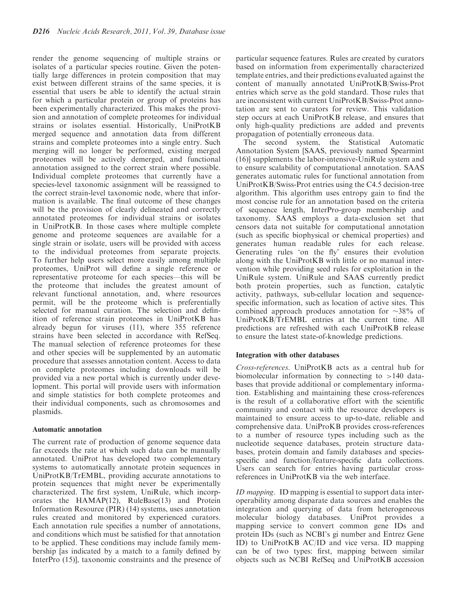render the genome sequencing of multiple strains or isolates of a particular species routine. Given the potentially large differences in protein composition that may exist between different strains of the same species, it is essential that users be able to identify the actual strain for which a particular protein or group of proteins has been experimentally characterized. This makes the provision and annotation of complete proteomes for individual strains or isolates essential. Historically, UniProtKB merged sequence and annotation data from different strains and complete proteomes into a single entry. Such merging will no longer be performed, existing merged proteomes will be actively demerged, and functional annotation assigned to the correct strain where possible. Individual complete proteomes that currently have a species-level taxonomic assignment will be reassigned to the correct strain-level taxonomic node, where that information is available. The final outcome of these changes will be the provision of clearly delineated and correctly annotated proteomes for individual strains or isolates in UniProtKB. In those cases where multiple complete genome and proteome sequences are available for a single strain or isolate, users will be provided with access to the individual proteomes from separate projects. To further help users select more easily among multiple proteomes, UniProt will define a single reference or representative proteome for each species—this will be the proteome that includes the greatest amount of relevant functional annotation, and, where resources permit, will be the proteome which is preferentially selected for manual curation. The selection and definition of reference strain proteomes in UniProtKB has already begun for viruses (11), where 355 reference strains have been selected in accordance with RefSeq. The manual selection of reference proteomes for these and other species will be supplemented by an automatic procedure that assesses annotation content. Access to data on complete proteomes including downloads will be provided via a new portal which is currently under development. This portal will provide users with information and simple statistics for both complete proteomes and their individual components, such as chromosomes and plasmids.

# Automatic annotation

The current rate of production of genome sequence data far exceeds the rate at which such data can be manually annotated. UniProt has developed two complementary systems to automatically annotate protein sequences in UniProtKB/TrEMBL, providing accurate annotations to protein sequences that might never be experimentally characterized. The first system, UniRule, which incorporates the HAMAP(12), RuleBase(13) and Protein Information Resource (PIR) (14) systems, uses annotation rules created and monitored by experienced curators. Each annotation rule specifies a number of annotations, and conditions which must be satisfied for that annotation to be applied. These conditions may include family membership [as indicated by a match to a family defined by InterPro (15)], taxonomic constraints and the presence of particular sequence features. Rules are created by curators based on information from experimentally characterized template entries, and their predictions evaluated against the content of manually annotated UniProtKB/Swiss-Prot entries which serve as the gold standard. Those rules that are inconsistent with current UniProtKB/Swiss-Prot annotation are sent to curators for review. This validation step occurs at each UniProtKB release, and ensures that only high-quality predictions are added and prevents propagation of potentially erroneous data.

The second system, the Statistical Automatic Annotation System [SAAS, previously named Spearmint (16)] supplements the labor-intensive-UniRule system and to ensure scalability of computational annotation. SAAS generates automatic rules for functional annotation from UniProtKB/Swiss-Prot entries using the C4.5 decision-tree algorithm. This algorithm uses entropy gain to find the most concise rule for an annotation based on the criteria of sequence length, InterPro-group membership and taxonomy. SAAS employs a data-exclusion set that censors data not suitable for computational annotation (such as specific biophysical or chemical properties) and generates human readable rules for each release. Generating rules 'on the fly' ensures their evolution along with the UniProtKB with little or no manual intervention while providing seed rules for exploitation in the UniRule system. UniRule and SAAS currently predict both protein properties, such as function, catalytic activity, pathways, sub-cellular location and sequencespecific information, such as location of active sites. This combined approach produces annotation for  $\sim$ 38% of UniProtKB/TrEMBL entries at the current time. All predictions are refreshed with each UniProtKB release to ensure the latest state-of-knowledge predictions.

#### Integration with other databases

Cross-references. UniProtKB acts as a central hub for biomolecular information by connecting to  $>140$  databases that provide additional or complementary information. Establishing and maintaining these cross-references is the result of a collaborative effort with the scientific community and contact with the resource developers is maintained to ensure access to up-to-date, reliable and comprehensive data. UniProKB provides cross-references to a number of resource types including such as the nucleotide sequence databases, protein structure databases, protein domain and family databases and speciesspecific and function/feature-specific data collections. Users can search for entries having particular crossreferences in UniProtKB via the web interface.

ID mapping. ID mapping is essential to support data interoperability among disparate data sources and enables the integration and querying of data from heterogeneous molecular biology databases. UniProt provides a mapping service to convert common gene IDs and protein IDs (such as NCBI's gi number and Entrez Gene ID) to UniProtKB AC/ID and vice versa. ID mapping can be of two types: first, mapping between similar objects such as NCBI RefSeq and UniProtKB accession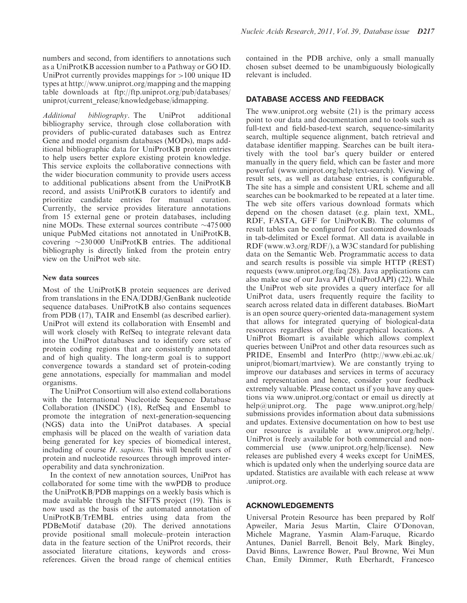numbers and second, from identifiers to annotations such as a UniProtKB accession number to a Pathway or GO ID. UniProt currently provides mappings for >100 unique ID types at http://www.uniprot.org/mapping and the mapping table downloads at ftp://ftp.uniprot.org/pub/databases/ uniprot/current\_release/knowledgebase/idmapping.

Additional bibliography. The UniProt additional bibliography service, through close collaboration with providers of public-curated databases such as Entrez Gene and model organism databases (MODs), maps additional bibliographic data for UniProtKB protein entries to help users better explore existing protein knowledge. This service exploits the collaborative connections with the wider biocuration community to provide users access to additional publications absent from the UniProtKB record, and assists UniProtKB curators to identify and prioritize candidate entries for manual curation. Currently, the service provides literature annotations from 15 external gene or protein databases, including nine MODs. These external sources contribute  $\sim$ 475000 unique PubMed citations not annotated in UniProtKB, covering  $\sim$ 230000 UniProtKB entries. The additional bibliography is directly linked from the protein entry view on the UniProt web site.

#### New data sources

Most of the UniProtKB protein sequences are derived from translations in the ENA/DDBJ/GenBank nucleotide sequence databases. UniProtKB also contains sequences from PDB (17), TAIR and Ensembl (as described earlier). UniProt will extend its collaboration with Ensembl and will work closely with RefSeq to integrate relevant data into the UniProt databases and to identify core sets of protein coding regions that are consistently annotated and of high quality. The long-term goal is to support convergence towards a standard set of protein-coding gene annotations, especially for mammalian and model organisms.

The UniProt Consortium will also extend collaborations with the International Nucleotide Sequence Database Collaboration (INSDC) (18), RefSeq and Ensembl to promote the integration of next-generation-sequencing (NGS) data into the UniProt databases. A special emphasis will be placed on the wealth of variation data being generated for key species of biomedical interest, including of course H. sapiens. This will benefit users of protein and nucleotide resources through improved interoperability and data synchronization.

In the context of new annotation sources, UniProt has collaborated for some time with the wwPDB to produce the UniProtKB/PDB mappings on a weekly basis which is made available through the SIFTS project (19). This is now used as the basis of the automated annotation of UniProtKB/TrEMBL entries using data from the PDBeMotif database (20). The derived annotations provide positional small molecule–protein interaction data in the feature section of the UniProt records, their associated literature citations, keywords and crossreferences. Given the broad range of chemical entities

contained in the PDB archive, only a small manually chosen subset deemed to be unambiguously biologically relevant is included.

# DATABASE ACCESS AND FEEDBACK

The www.uniprot.org website (21) is the primary access point to our data and documentation and to tools such as full-text and field-based-text search, sequence-similarity search, multiple sequence alignment, batch retrieval and database identifier mapping. Searches can be built iteratively with the tool bar's query builder or entered manually in the query field, which can be faster and more powerful (www.uniprot.org/help/text-search). Viewing of result sets, as well as database entries, is configurable. The site has a simple and consistent URL scheme and all searches can be bookmarked to be repeated at a later time. The web site offers various download formats which depend on the chosen dataset (e.g. plain text, XML, RDF, FASTA, GFF for UniProtKB). The columns of result tables can be configured for customized downloads in tab-delimited or Excel format. All data is available in RDF (www.w3.org/RDF/), a W3C standard for publishing data on the Semantic Web. Programmatic access to data and search results is possible via simple HTTP (REST) requests (www.uniprot.org/faq/28). Java applications can also make use of our Java API (UniProtJAPI) (22). While the UniProt web site provides a query interface for all UniProt data, users frequently require the facility to search across related data in different databases. BioMart is an open source query-oriented data-management system that allows for integrated querying of biological-data resources regardless of their geographical locations. A UniProt Biomart is available which allows complext queries between UniProt and other data resources such as PRIDE, Ensembl and InterPro (http://www.ebi.ac.uk/ uniprot/biomart/martview). We are constantly trying to improve our databases and services in terms of accuracy and representation and hence, consider your feedback extremely valuable. Please contact us if you have any questions via www.uniprot.org/contact or email us directly at help@uniprot.org. The page www.uniprot.org/help/ submissions provides information about data submissions and updates. Extensive documentation on how to best use our resource is available at www.uniprot.org/help/. UniProt is freely available for both commercial and noncommercial use (www.uniprot.org/help/license). New releases are published every 4 weeks except for UniMES, which is updated only when the underlying source data are updated. Statistics are available with each release at www .uniprot.org.

# ACKNOWLEDGEMENTS

Universal Protein Resource has been prepared by Rolf Apweiler, Maria Jesus Martin, Claire O'Donovan, Michele Magrane, Yasmin Alam-Faruque, Ricardo Antunes, Daniel Barrell, Benoit Bely, Mark Bingley, David Binns, Lawrence Bower, Paul Browne, Wei Mun Chan, Emily Dimmer, Ruth Eberhardt, Francesco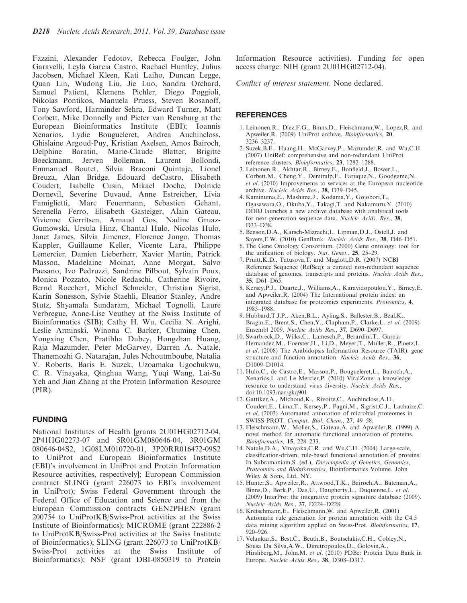Fazzini, Alexander Fedotov, Rebecca Foulger, John Garavelli, Leyla Garcia Castro, Rachael Huntley, Julius Jacobsen, Michael Kleen, Kati Laiho, Duncan Legge, Quan Lin, Wudong Liu, Jie Luo, Sandra Orchard, Samuel Patient, Klemens Pichler, Diego Poggioli, Nikolas Pontikos, Manuela Pruess, Steven Rosanoff, Tony Sawford, Harminder Sehra, Edward Turner, Matt Corbett, Mike Donnelly and Pieter van Rensburg at the European Bioinformatics Institute (EBI); Ioannis Xenarios, Lydie Bougueleret, Andrea Auchincloss, Ghislaine Argoud-Puy, Kristian Axelsen, Amos Bairoch, Delphine Baratin, Marie-Claude Blatter, Brigitte Boeckmann, Jerven Bolleman, Laurent Bollondi, Emmanuel Boutet, Silvia Braconi Quintaje, Lionel Breuza, Alan Bridge, Edouard deCastro, Elisabeth Coudert, Isabelle Cusin, Mikael Doche, Dolnide Dornevil, Severine Duvaud, Anne Estreicher, Livia Famiglietti, Marc Feuermann, Sebastien Gehant, Serenella Ferro, Elisabeth Gasteiger, Alain Gateau, Vivienne Gerritsen, Arnaud Gos, Nadine Gruaz-Gumowski, Ursula Hinz, Chantal Hulo, Nicolas Hulo, Janet James, Silvia Jimenez, Florence Jungo, Thomas Kappler, Guillaume Keller, Vicente Lara, Philippe Lemercier, Damien Lieberherr, Xavier Martin, Patrick Masson, Madelaine Moinat, Anne Morgat, Salvo Paesano, Ivo Pedruzzi, Sandrine Pilbout, Sylvain Poux, Monica Pozzato, Nicole Redaschi, Catherine Rivoire, Bernd Roechert, Michel Schneider, Christian Sigrist, Karin Sonesson, Sylvie Staehli, Eleanor Stanley, Andre Stutz, Shyamala Sundaram, Michael Tognolli, Laure Verbregue, Anne-Lise Veuthey at the Swiss Institute of Bioinformatics (SIB); Cathy H. Wu, Cecilia N. Arighi, Leslie Arminski, Winona C. Barker, Chuming Chen, Yongxing Chen, Pratibha Dubey, Hongzhan Huang, Raja Mazumder, Peter McGarvey, Darren A. Natale, Thanemozhi G. Natarajan, Jules Nchoutmboube, Natalia V. Roberts, Baris E. Suzek, Uzoamaka Ugochukwu, C. R. Vinayaka, Qinghua Wang, Yuqi Wang, Lai-Su Yeh and Jian Zhang at the Protein Information Resource (PIR).

#### FUNDING

National Institutes of Health [grants 2U01HG02712-04, 2P41HG02273-07 and 5R01GM080646-04, 3R01GM 080646-04S2, 1G08LM010720-01, 3P20RR016472-09S2 to UniProt and European Bioinformatics Institute (EBI)'s involvement in UniProt and Protein Information Resource activities, respectively]; European Commission contract SLING (grant 226073 to EBI's involvement in UniProt); Swiss Federal Government through the Federal Office of Education and Science and from the European Commission contracts GEN2PHEN (grant 200754 to UniProtKB/Swiss-Prot activities at the Swiss Institute of Bioinformatics); MICROME (grant 222886-2 to UniProtKB/Swiss-Prot activities at the Swiss Institute of Bioinformatics); SLING (grant 226073 to UniProtKB/ Swiss-Prot activities at the Swiss Institute of Bioinformatics); NSF (grant DBI-0850319 to Protein

Information Resource activities). Funding for open access charge: NIH (grant 2U01HG02712-04).

Conflict of interest statement. None declared.

#### **REFERENCES**

- 1. Leinonen,R., Diez,F.G., Binns,D., Fleischmann,W., Lopez,R. and Apweiler,R. (2009) UniProt archive. Bioinformatics, 20, 3236–3237.
- 2. Suzek,B.E., Huang,H., McGarvey,P., Mazumder,R. and Wu,C.H. (2007) UniRef: comprehensive and non-redundant UniProt reference clusters. Bioinformatics, 23, 1282–1288.
- 3. Leinonen,R., Akhtar,R., Birney,E., Bonfield,J., Bower,L., Corbett,M., Cheng,Y., Demiralp,F., Faruque,N., Goodgame,N. et al. (2010) Improvements to services at the European nucleotide archive. Nucleic Acids Res., 38, D39–D45.
- 4. Kaminuma,E., Mashima,J., Kodama,Y., Gojobori,T., Ogasawara,O., Okuba,Y., Takagi,T. and Nakamuru,Y. (2010) DDBJ launches a new archive database with analytical tools for next-generation sequence data. Nucleic Acids. Res., 38, D33–D38.
- 5. Benson,D.A., Karsch-Mizrachi,I., Lipman,D.J., Ostell,J. and Sayers,E.W. (2010) GenBank. Nucleic Acids Res., 38, D46–D51.
- 6. The Gene Ontology Consortium. (2000) Gene ontology: tool for the unification of biology. Nat. Genet., 25, 25–29.
- 7. Pruitt,K.D., Tatusova,T. and Maglott,D.R. (2007) NCBI Reference Sequence (RefSeq): a curated non-redundant sequence database of genomes, transcripts and proteins. Nucleic Acids Res., 35, D61–D65.
- 8. Kersey,P.J., Duarte,J., Williams,A., Karavidopoulou,Y., Birney,E. and Apweiler,R. (2004) The International protein index: an integrated database for proteomics experiments. Proteomics, 4, 1985–1988.
- 9. Hubbard,T.J.P., Aken,B.L., Ayling,S., Ballester,B., Beal,K., Bragin,E., Brent,S., Chen,Y., Clapham,P., Clarke,L. et al. (2009) Ensembl 2009. Nucleic Acids Res., 37, D690–D697.
- 10. Swarbreck,D., Wilks,C., Lamesch,P., Berardini,T., Garcia-Hernandez,M., Foerster,H., Li,D., Meyer,T., Muller,R., Ploetz,L. et al. (2008) The Arabidopsis Information Resource (TAIR): gene structure and function annotation. Nucleic Acids Res., 36, D1009–D1014.
- 11. Hulo,C., de Castro,E., Masson,P., Bougueleret,L., Bairoch,A., Xenarios,I. and Le Mercier,P. (2010) ViralZone: a knowledge resource to understand virus diversity. Nucleic Acids Res., doi:10.1093/nar/gkq901.
- 12. Gattiker,A., Michoud,K., Rivoire,C., Auchincloss,A.H., Coudert,E., Lima,T., Kersey,P., Pagni,M., Sigrist,C.J., Lachaize,C. et al. (2003) Automated annotation of microbial proteomes in SWISS-PROT. Comput. Biol. Chem., 27, 49–58.
- 13. Fleischmann,W., Moller,S., Gateau,A. and Apweiler,R. (1999) A novel method for automatic functional annotation of proteins. Bioinformatics, 15, 228–233.
- 14. Natale,D.A., Vinayaka,C.R. and Wu,C.H. (2004) Large-scale, classification-driven, rule-based functional annotation of proteins. In Subramaniam,S. (ed.), Encyclopedia of Genetics, Genomics, Proteomics and Bioinformatics, Bioinformatics Volume. John Wiley & Sons, Ltd, NY.
- 15. Hunter,S., Apweiler,R., Attwood,T.K., Bairoch,A., Bateman,A., Binns,D., Bork,P., Das,U., Daugherty,L., Duquenne,L. et al. (2009) InterPro: the integrative protein signature database (2009). Nucleic Acids Res., 37, D224–D228.
- 16. Kretschmann,E., Fleischmann,W. and Apweiler,R. (2001) Automatic rule generation for protein annotation with the C4.5 data mining algorithm applied on Swiss-Prot. Bioinformatics, 17, 920–926.
- 17. Velankar,S., Best,C., Beuth,B., Boutselakis,C.H., Cobley,N., Sousa Da Silva,A.W., Dimitropoulos,D., Golovin,A., Hirshberg,M., John,M. et al. (2010) PDBe: Protein Data Bank in Europe. Nucleic Acids Res., 38, D308–D317.